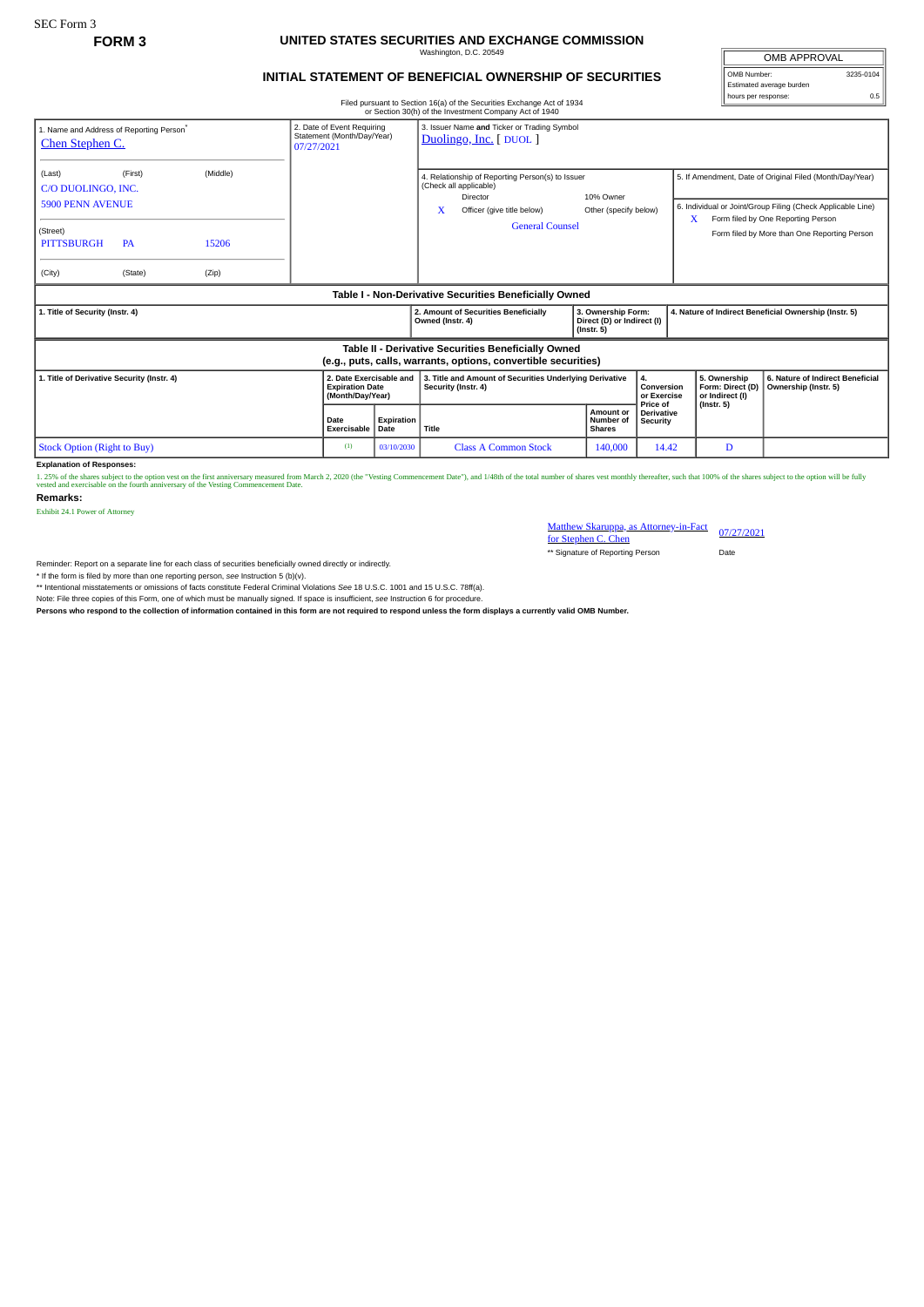## **FORM 3 UNITED STATES SECURITIES AND EXCHANGE COMMISSION** Washington, D.C. 20549

## **INITIAL STATEMENT OF BENEFICIAL OWNERSHIP OF SECURITIES**

| OMB APPROVAL             |           |  |  |  |  |  |
|--------------------------|-----------|--|--|--|--|--|
| OMB Number:              | 3235-0104 |  |  |  |  |  |
| Estimated average burden |           |  |  |  |  |  |
| hours per response:      |           |  |  |  |  |  |

|                                                                                                                                                   |           |       |                            |                                                                       | Filed pursuant to Section 16(a) of the Securities Exchange Act of 1934<br>or Section 30(h) of the Investment Company Act of 1940 |                                                                      |                                             |                                                                                                                                                                    |                                                          |  |  |  |
|---------------------------------------------------------------------------------------------------------------------------------------------------|-----------|-------|----------------------------|-----------------------------------------------------------------------|----------------------------------------------------------------------------------------------------------------------------------|----------------------------------------------------------------------|---------------------------------------------|--------------------------------------------------------------------------------------------------------------------------------------------------------------------|----------------------------------------------------------|--|--|--|
| 2. Date of Event Requiring<br>1. Name and Address of Reporting Person <sup>*</sup><br>Statement (Month/Day/Year)<br>Chen Stephen C.<br>07/27/2021 |           |       |                            |                                                                       | 3. Issuer Name and Ticker or Trading Symbol<br>Duolingo, Inc. [DUOL]                                                             |                                                                      |                                             |                                                                                                                                                                    |                                                          |  |  |  |
| (Middle)<br>(First)<br>(Last)<br>C/O DUOLINGO, INC.<br><b>5900 PENN AVENUE</b>                                                                    |           |       |                            |                                                                       | 4. Relationship of Reporting Person(s) to Issuer<br>(Check all applicable)<br>Director<br>x<br>Officer (give title below)        | 10% Owner<br>Other (specify below)                                   |                                             | 5. If Amendment, Date of Original Filed (Month/Day/Year)<br>6. Individual or Joint/Group Filing (Check Applicable Line)<br>x<br>Form filed by One Reporting Person |                                                          |  |  |  |
| (Street)<br><b>PITTSBURGH</b>                                                                                                                     | <b>PA</b> | 15206 |                            |                                                                       | <b>General Counsel</b>                                                                                                           |                                                                      |                                             |                                                                                                                                                                    | Form filed by More than One Reporting Person             |  |  |  |
| (City)                                                                                                                                            | (State)   | (Zip) |                            |                                                                       |                                                                                                                                  |                                                                      |                                             |                                                                                                                                                                    |                                                          |  |  |  |
| Table I - Non-Derivative Securities Beneficially Owned                                                                                            |           |       |                            |                                                                       |                                                                                                                                  |                                                                      |                                             |                                                                                                                                                                    |                                                          |  |  |  |
| 1. Title of Security (Instr. 4)                                                                                                                   |           |       |                            |                                                                       | 2. Amount of Securities Beneficially<br>Owned (Instr. 4)                                                                         | 3. Ownership Form:<br>Direct (D) or Indirect (I)<br>$($ Instr. 5 $)$ |                                             | 4. Nature of Indirect Beneficial Ownership (Instr. 5)                                                                                                              |                                                          |  |  |  |
| Table II - Derivative Securities Beneficially Owned<br>(e.g., puts, calls, warrants, options, convertible securities)                             |           |       |                            |                                                                       |                                                                                                                                  |                                                                      |                                             |                                                                                                                                                                    |                                                          |  |  |  |
| 1. Title of Derivative Security (Instr. 4)                                                                                                        |           |       |                            | 2. Date Exercisable and<br><b>Expiration Date</b><br>(Month/Day/Year) | 3. Title and Amount of Securities Underlying Derivative<br>Security (Instr. 4)                                                   |                                                                      | 4.<br>Conversion<br>or Exercise<br>Price of | 5. Ownership<br>Form: Direct (D)<br>or Indirect (I)                                                                                                                | 6. Nature of Indirect Beneficial<br>Ownership (Instr. 5) |  |  |  |
|                                                                                                                                                   |           |       | <b>Date</b><br>Exercisable | Expiration<br>Date                                                    | Title                                                                                                                            | Amount or<br>Number of<br><b>Shares</b>                              | <b>Derivative</b><br>Security               | $($ Instr. 5 $)$                                                                                                                                                   |                                                          |  |  |  |
| <b>Stock Option (Right to Buy)</b>                                                                                                                |           |       |                            | 03/10/2030                                                            | <b>Class A Common Stock</b>                                                                                                      | 140,000                                                              | 14.42                                       | D                                                                                                                                                                  |                                                          |  |  |  |

**Explanation of Responses:**

1. 25% of the shares subject to the option vest on the first anniversary measured from March 2, 2020 (the "Vesting Commencement Date"), and 1/48th of the total number of shares vest monthly thereafter, such that 100% of th

**Remarks:**

Exhibit 24.1 Power of Attorney

Matthew Skaruppa, as Attorney-in-Fact 07/27/2021<br>for Stephen C. Chen \*\* Signature of Reporting Person Date

Reminder: Report on a separate line for each class of securities beneficially owned directly or indirectly.

\* If the form is filed by more than one reporting person, *see* Instruction 5 (b)(v).

\*\* Intentional misstatements or omissions of facts constitute Federal Criminal Violations *See* 18 U.S.C. 1001 and 15 U.S.C. 78ff(a).

Note: File three copies of this Form, one of which must be manually signed. If space is insufficient, *see* Instruction 6 for procedure.

**Persons who respond to the collection of information contained in this form are not required to respond unless the form displays a currently valid OMB Number.**